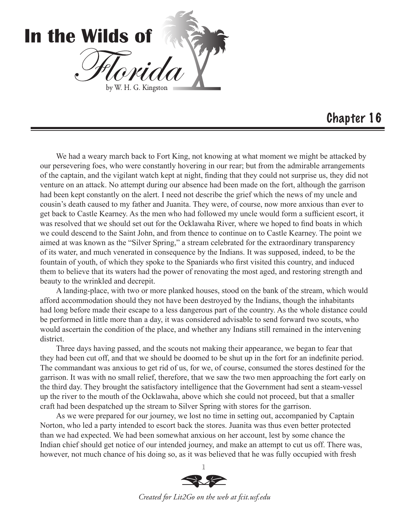

# Chapter 16

We had a weary march back to Fort King, not knowing at what moment we might be attacked by our persevering foes, who were constantly hovering in our rear; but from the admirable arrangements of the captain, and the vigilant watch kept at night, finding that they could not surprise us, they did not venture on an attack. No attempt during our absence had been made on the fort, although the garrison had been kept constantly on the alert. I need not describe the grief which the news of my uncle and cousin's death caused to my father and Juanita. They were, of course, now more anxious than ever to get back to Castle Kearney. As the men who had followed my uncle would form a sufficient escort, it was resolved that we should set out for the Ocklawaha River, where we hoped to find boats in which we could descend to the Saint John, and from thence to continue on to Castle Kearney. The point we aimed at was known as the "Silver Spring," a stream celebrated for the extraordinary transparency of its water, and much venerated in consequence by the Indians. It was supposed, indeed, to be the fountain of youth, of which they spoke to the Spaniards who first visited this country, and induced them to believe that its waters had the power of renovating the most aged, and restoring strength and beauty to the wrinkled and decrepit.

A landing-place, with two or more planked houses, stood on the bank of the stream, which would afford accommodation should they not have been destroyed by the Indians, though the inhabitants had long before made their escape to a less dangerous part of the country. As the whole distance could be performed in little more than a day, it was considered advisable to send forward two scouts, who would ascertain the condition of the place, and whether any Indians still remained in the intervening district.

Three days having passed, and the scouts not making their appearance, we began to fear that they had been cut off, and that we should be doomed to be shut up in the fort for an indefinite period. The commandant was anxious to get rid of us, for we, of course, consumed the stores destined for the garrison. It was with no small relief, therefore, that we saw the two men approaching the fort early on the third day. They brought the satisfactory intelligence that the Government had sent a steam-vessel up the river to the mouth of the Ocklawaha, above which she could not proceed, but that a smaller craft had been despatched up the stream to Silver Spring with stores for the garrison.

As we were prepared for our journey, we lost no time in setting out, accompanied by Captain Norton, who led a party intended to escort back the stores. Juanita was thus even better protected than we had expected. We had been somewhat anxious on her account, lest by some chance the Indian chief should get notice of our intended journey, and make an attempt to cut us off. There was, however, not much chance of his doing so, as it was believed that he was fully occupied with fresh

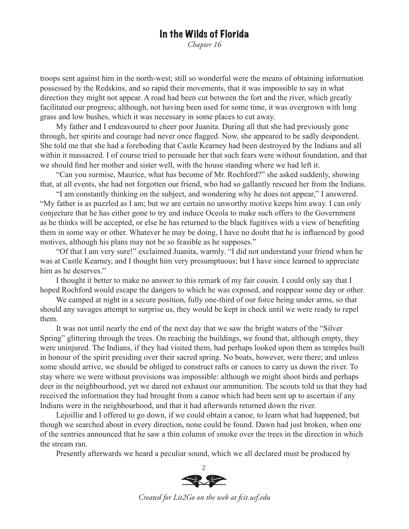*Chapter 16*

troops sent against him in the north-west; still so wonderful were the means of obtaining information possessed by the Redskins, and so rapid their movements, that it was impossible to say in what direction they might not appear. A road had been cut between the fort and the river, which greatly facilitated our progress; although, not having been used for some time, it was overgrown with long grass and low bushes, which it was necessary in some places to cut away.

My father and I endeavoured to cheer poor Juanita. During all that she had previously gone through, her spirits and courage had never once flagged. Now, she appeared to be sadly despondent. She told me that she had a foreboding that Castle Kearney had been destroyed by the Indians and all within it massacred. I of course tried to persuade her that such fears were without foundation, and that we should find her mother and sister well, with the house standing where we had left it.

"Can you surmise, Maurice, what has become of Mr. Rochford?" she asked suddenly, showing that, at all events, she had not forgotten our friend, who had so gallantly rescued her from the Indians.

"I am constantly thinking on the subject, and wondering why he does not appear," I answered. "My father is as puzzled as I am; but we are certain no unworthy motive keeps him away. I can only conjecture that he has either gone to try and induce Oceola to make such offers to the Government as he thinks will be accepted, or else he has returned to the black fugitives with a view of benefiting them in some way or other. Whatever he may be doing, I have no doubt that he is influenced by good motives, although his plans may not be so feasible as he supposes."

"Of that I am very sure!" exclaimed Juanita, warmly. "I did not understand your friend when he was at Castle Kearney, and I thought him very presumptuous; but I have since learned to appreciate him as he deserves."

I thought it better to make no answer to this remark of my fair cousin. I could only say that I hoped Rochford would escape the dangers to which he was exposed, and reappear some day or other.

We camped at night in a secure position, fully one-third of our force being under arms, so that should any savages attempt to surprise us, they would be kept in check until we were ready to repel them.

It was not until nearly the end of the next day that we saw the bright waters of the "Silver Spring" glittering through the trees. On reaching the buildings, we found that, although empty, they were uninjured. The Indians, if they had visited them, had perhaps looked upon them as temples built in honour of the spirit presiding over their sacred spring. No boats, however, were there; and unless some should arrive, we should be obliged to construct rafts or canoes to carry us down the river. To stay where we were without provisions was impossible: although we might shoot birds and perhaps deer in the neighbourhood, yet we dared not exhaust our ammunition. The scouts told us that they had received the information they had brought from a canoe which had been sent up to ascertain if any Indians were in the neighbourhood, and that it had afterwards returned down the river.

Lejoillie and I offered to go down, if we could obtain a canoe, to learn what had happened; but though we searched about in every direction, none could be found. Dawn had just broken, when one of the sentries announced that he saw a thin column of smoke over the trees in the direction in which the stream ran.

Presently afterwards we heard a peculiar sound, which we all declared must be produced by



*Created for Lit2Go on the web at fcit.usf.edu*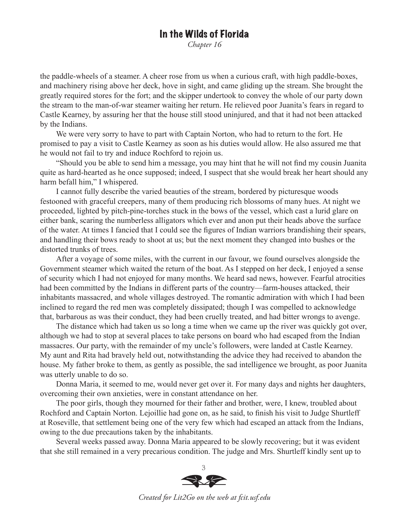*Chapter 16*

the paddle-wheels of a steamer. A cheer rose from us when a curious craft, with high paddle-boxes, and machinery rising above her deck, hove in sight, and came gliding up the stream. She brought the greatly required stores for the fort; and the skipper undertook to convey the whole of our party down the stream to the man-of-war steamer waiting her return. He relieved poor Juanita's fears in regard to Castle Kearney, by assuring her that the house still stood uninjured, and that it had not been attacked by the Indians.

We were very sorry to have to part with Captain Norton, who had to return to the fort. He promised to pay a visit to Castle Kearney as soon as his duties would allow. He also assured me that he would not fail to try and induce Rochford to rejoin us.

"Should you be able to send him a message, you may hint that he will not find my cousin Juanita quite as hard-hearted as he once supposed; indeed, I suspect that she would break her heart should any harm befall him," I whispered.

I cannot fully describe the varied beauties of the stream, bordered by picturesque woods festooned with graceful creepers, many of them producing rich blossoms of many hues. At night we proceeded, lighted by pitch-pine-torches stuck in the bows of the vessel, which cast a lurid glare on either bank, scaring the numberless alligators which ever and anon put their heads above the surface of the water. At times I fancied that I could see the figures of Indian warriors brandishing their spears, and handling their bows ready to shoot at us; but the next moment they changed into bushes or the distorted trunks of trees.

After a voyage of some miles, with the current in our favour, we found ourselves alongside the Government steamer which waited the return of the boat. As I stepped on her deck, I enjoyed a sense of security which I had not enjoyed for many months. We heard sad news, however. Fearful atrocities had been committed by the Indians in different parts of the country—farm-houses attacked, their inhabitants massacred, and whole villages destroyed. The romantic admiration with which I had been inclined to regard the red men was completely dissipated; though I was compelled to acknowledge that, barbarous as was their conduct, they had been cruelly treated, and had bitter wrongs to avenge.

The distance which had taken us so long a time when we came up the river was quickly got over, although we had to stop at several places to take persons on board who had escaped from the Indian massacres. Our party, with the remainder of my uncle's followers, were landed at Castle Kearney. My aunt and Rita had bravely held out, notwithstanding the advice they had received to abandon the house. My father broke to them, as gently as possible, the sad intelligence we brought, as poor Juanita was utterly unable to do so.

Donna Maria, it seemed to me, would never get over it. For many days and nights her daughters, overcoming their own anxieties, were in constant attendance on her.

The poor girls, though they mourned for their father and brother, were, I knew, troubled about Rochford and Captain Norton. Lejoillie had gone on, as he said, to finish his visit to Judge Shurtleff at Roseville, that settlement being one of the very few which had escaped an attack from the Indians, owing to the due precautions taken by the inhabitants.

Several weeks passed away. Donna Maria appeared to be slowly recovering; but it was evident that she still remained in a very precarious condition. The judge and Mrs. Shurtleff kindly sent up to



*Created for Lit2Go on the web at fcit.usf.edu*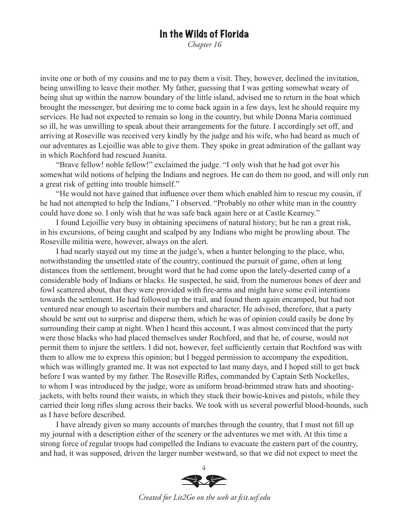*Chapter 16*

invite one or both of my cousins and me to pay them a visit. They, however, declined the invitation, being unwilling to leave their mother. My father, guessing that I was getting somewhat weary of being shut up within the narrow boundary of the little island, advised me to return in the boat which brought the messenger, but desiring me to come back again in a few days, lest he should require my services. He had not expected to remain so long in the country, but while Donna Maria continued so ill, he was unwilling to speak about their arrangements for the future. I accordingly set off, and arriving at Roseville was received very kindly by the judge and his wife, who had heard as much of our adventures as Lejoillie was able to give them. They spoke in great admiration of the gallant way in which Rochford had rescued Juanita.

"Brave fellow! noble fellow!" exclaimed the judge. "I only wish that he had got over his somewhat wild notions of helping the Indians and negroes. He can do them no good, and will only run a great risk of getting into trouble himself."

"He would not have gained that influence over them which enabled him to rescue my cousin, if he had not attempted to help the Indians," I observed. "Probably no other white man in the country could have done so. I only wish that he was safe back again here or at Castle Kearney."

I found Lejoillie very busy in obtaining specimens of natural history; but he ran a great risk, in his excursions, of being caught and scalped by any Indians who might be prowling about. The Roseville militia were, however, always on the alert.

I had nearly stayed out my time at the judge's, when a hunter belonging to the place, who, notwithstanding the unsettled state of the country, continued the pursuit of game, often at long distances from the settlement, brought word that he had come upon the lately-deserted camp of a considerable body of Indians or blacks. He suspected, he said, from the numerous bones of deer and fowl scattered about, that they were provided with fire-arms and might have some evil intentions towards the settlement. He had followed up the trail, and found them again encamped, but had not ventured near enough to ascertain their numbers and character. He advised, therefore, that a party should be sent out to surprise and disperse them, which he was of opinion could easily be done by surrounding their camp at night. When I heard this account, I was almost convinced that the party were those blacks who had placed themselves under Rochford, and that he, of course, would not permit them to injure the settlers. I did not, however, feel sufficiently certain that Rochford was with them to allow me to express this opinion; but I begged permission to accompany the expedition, which was willingly granted me. It was not expected to last many days, and I hoped still to get back before I was wanted by my father. The Roseville Rifles, commanded by Captain Seth Nockelles, to whom I was introduced by the judge, wore as uniform broad-brimmed straw hats and shootingjackets, with belts round their waists, in which they stuck their bowie-knives and pistols, while they carried their long rifles slung across their backs. We took with us several powerful blood-hounds, such as I have before described.

I have already given so many accounts of marches through the country, that I must not fill up my journal with a description either of the scenery or the adventures we met with. At this time a strong force of regular troops had compelled the Indians to evacuate the eastern part of the country, and had, it was supposed, driven the larger number westward, so that we did not expect to meet the



*Created for Lit2Go on the web at fcit.usf.edu*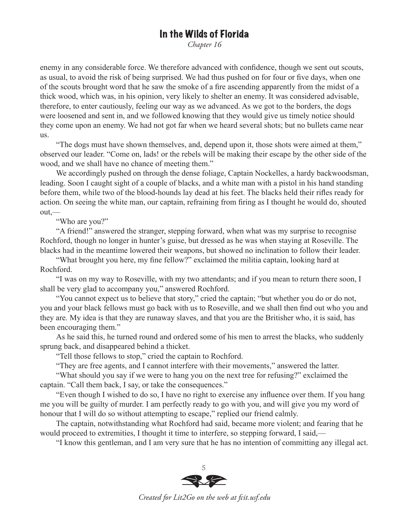*Chapter 16*

enemy in any considerable force. We therefore advanced with confidence, though we sent out scouts, as usual, to avoid the risk of being surprised. We had thus pushed on for four or five days, when one of the scouts brought word that he saw the smoke of a fire ascending apparently from the midst of a thick wood, which was, in his opinion, very likely to shelter an enemy. It was considered advisable, therefore, to enter cautiously, feeling our way as we advanced. As we got to the borders, the dogs were loosened and sent in, and we followed knowing that they would give us timely notice should they come upon an enemy. We had not got far when we heard several shots; but no bullets came near us.

"The dogs must have shown themselves, and, depend upon it, those shots were aimed at them," observed our leader. "Come on, lads! or the rebels will be making their escape by the other side of the wood, and we shall have no chance of meeting them."

We accordingly pushed on through the dense foliage, Captain Nockelles, a hardy backwoodsman, leading. Soon I caught sight of a couple of blacks, and a white man with a pistol in his hand standing before them, while two of the blood-hounds lay dead at his feet. The blacks held their rifles ready for action. On seeing the white man, our captain, refraining from firing as I thought he would do, shouted out,—

"Who are you?"

"A friend!" answered the stranger, stepping forward, when what was my surprise to recognise Rochford, though no longer in hunter's guise, but dressed as he was when staying at Roseville. The blacks had in the meantime lowered their weapons, but showed no inclination to follow their leader.

"What brought you here, my fine fellow?" exclaimed the militia captain, looking hard at Rochford.

"I was on my way to Roseville, with my two attendants; and if you mean to return there soon, I shall be very glad to accompany you," answered Rochford.

"You cannot expect us to believe that story," cried the captain; "but whether you do or do not, you and your black fellows must go back with us to Roseville, and we shall then find out who you and they are. My idea is that they are runaway slaves, and that you are the Britisher who, it is said, has been encouraging them."

As he said this, he turned round and ordered some of his men to arrest the blacks, who suddenly sprung back, and disappeared behind a thicket.

"Tell those fellows to stop," cried the captain to Rochford.

"They are free agents, and I cannot interfere with their movements," answered the latter.

"What should you say if we were to hang you on the next tree for refusing?" exclaimed the captain. "Call them back, I say, or take the consequences."

"Even though I wished to do so, I have no right to exercise any influence over them. If you hang me you will be guilty of murder. I am perfectly ready to go with you, and will give you my word of honour that I will do so without attempting to escape," replied our friend calmly.

The captain, notwithstanding what Rochford had said, became more violent; and fearing that he would proceed to extremities, I thought it time to interfere, so stepping forward, I said,—

"I know this gentleman, and I am very sure that he has no intention of committing any illegal act.

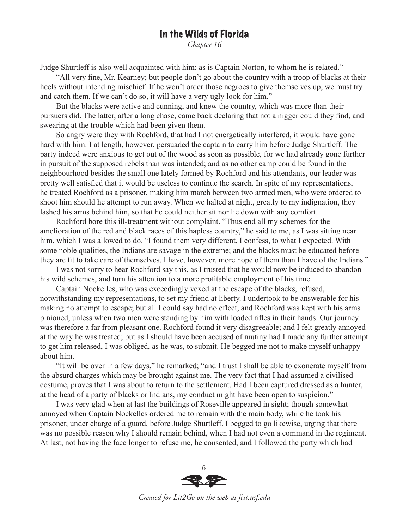*Chapter 16*

Judge Shurtleff is also well acquainted with him; as is Captain Norton, to whom he is related."

"All very fine, Mr. Kearney; but people don't go about the country with a troop of blacks at their heels without intending mischief. If he won't order those negroes to give themselves up, we must try and catch them. If we can't do so, it will have a very ugly look for him."

But the blacks were active and cunning, and knew the country, which was more than their pursuers did. The latter, after a long chase, came back declaring that not a nigger could they find, and swearing at the trouble which had been given them.

So angry were they with Rochford, that had I not energetically interfered, it would have gone hard with him. I at length, however, persuaded the captain to carry him before Judge Shurtleff. The party indeed were anxious to get out of the wood as soon as possible, for we had already gone further in pursuit of the supposed rebels than was intended; and as no other camp could be found in the neighbourhood besides the small one lately formed by Rochford and his attendants, our leader was pretty well satisfied that it would be useless to continue the search. In spite of my representations, he treated Rochford as a prisoner, making him march between two armed men, who were ordered to shoot him should he attempt to run away. When we halted at night, greatly to my indignation, they lashed his arms behind him, so that he could neither sit nor lie down with any comfort.

Rochford bore this ill-treatment without complaint. "Thus end all my schemes for the amelioration of the red and black races of this hapless country," he said to me, as I was sitting near him, which I was allowed to do. "I found them very different, I confess, to what I expected. With some noble qualities, the Indians are savage in the extreme; and the blacks must be educated before they are fit to take care of themselves. I have, however, more hope of them than I have of the Indians."

I was not sorry to hear Rochford say this, as I trusted that he would now be induced to abandon his wild schemes, and turn his attention to a more profitable employment of his time.

Captain Nockelles, who was exceedingly vexed at the escape of the blacks, refused, notwithstanding my representations, to set my friend at liberty. I undertook to be answerable for his making no attempt to escape; but all I could say had no effect, and Rochford was kept with his arms pinioned, unless when two men were standing by him with loaded rifles in their hands. Our journey was therefore a far from pleasant one. Rochford found it very disagreeable; and I felt greatly annoyed at the way he was treated; but as I should have been accused of mutiny had I made any further attempt to get him released, I was obliged, as he was, to submit. He begged me not to make myself unhappy about him.

"It will be over in a few days," he remarked; "and I trust I shall be able to exonerate myself from the absurd charges which may be brought against me. The very fact that I had assumed a civilised costume, proves that I was about to return to the settlement. Had I been captured dressed as a hunter, at the head of a party of blacks or Indians, my conduct might have been open to suspicion."

I was very glad when at last the buildings of Roseville appeared in sight; though somewhat annoyed when Captain Nockelles ordered me to remain with the main body, while he took his prisoner, under charge of a guard, before Judge Shurtleff. I begged to go likewise, urging that there was no possible reason why I should remain behind, when I had not even a command in the regiment. At last, not having the face longer to refuse me, he consented, and I followed the party which had



*Created for Lit2Go on the web at fcit.usf.edu*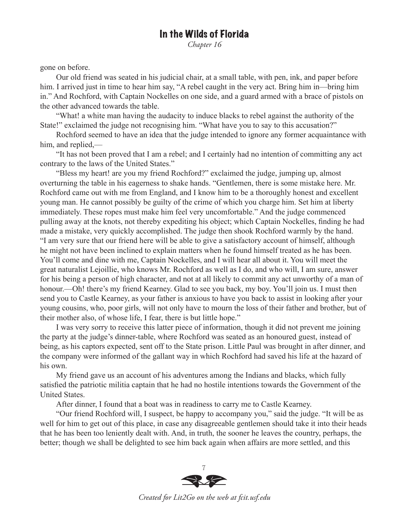*Chapter 16*

gone on before.

Our old friend was seated in his judicial chair, at a small table, with pen, ink, and paper before him. I arrived just in time to hear him say, "A rebel caught in the very act. Bring him in—bring him in." And Rochford, with Captain Nockelles on one side, and a guard armed with a brace of pistols on the other advanced towards the table.

"What! a white man having the audacity to induce blacks to rebel against the authority of the State!" exclaimed the judge not recognising him. "What have you to say to this accusation?"

Rochford seemed to have an idea that the judge intended to ignore any former acquaintance with him, and replied,—

"It has not been proved that I am a rebel; and I certainly had no intention of committing any act contrary to the laws of the United States."

"Bless my heart! are you my friend Rochford?" exclaimed the judge, jumping up, almost overturning the table in his eagerness to shake hands. "Gentlemen, there is some mistake here. Mr. Rochford came out with me from England, and I know him to be a thoroughly honest and excellent young man. He cannot possibly be guilty of the crime of which you charge him. Set him at liberty immediately. These ropes must make him feel very uncomfortable." And the judge commenced pulling away at the knots, not thereby expediting his object; which Captain Nockelles, finding he had made a mistake, very quickly accomplished. The judge then shook Rochford warmly by the hand. "I am very sure that our friend here will be able to give a satisfactory account of himself, although he might not have been inclined to explain matters when he found himself treated as he has been. You'll come and dine with me, Captain Nockelles, and I will hear all about it. You will meet the great naturalist Lejoillie, who knows Mr. Rochford as well as I do, and who will, I am sure, answer for his being a person of high character, and not at all likely to commit any act unworthy of a man of honour.—Oh! there's my friend Kearney. Glad to see you back, my boy. You'll join us. I must then send you to Castle Kearney, as your father is anxious to have you back to assist in looking after your young cousins, who, poor girls, will not only have to mourn the loss of their father and brother, but of their mother also, of whose life, I fear, there is but little hope."

I was very sorry to receive this latter piece of information, though it did not prevent me joining the party at the judge's dinner-table, where Rochford was seated as an honoured guest, instead of being, as his captors expected, sent off to the State prison. Little Paul was brought in after dinner, and the company were informed of the gallant way in which Rochford had saved his life at the hazard of his own.

My friend gave us an account of his adventures among the Indians and blacks, which fully satisfied the patriotic militia captain that he had no hostile intentions towards the Government of the United States.

After dinner, I found that a boat was in readiness to carry me to Castle Kearney.

"Our friend Rochford will, I suspect, be happy to accompany you," said the judge. "It will be as well for him to get out of this place, in case any disagreeable gentlemen should take it into their heads that he has been too leniently dealt with. And, in truth, the sooner he leaves the country, perhaps, the better; though we shall be delighted to see him back again when affairs are more settled, and this



*Created for Lit2Go on the web at fcit.usf.edu*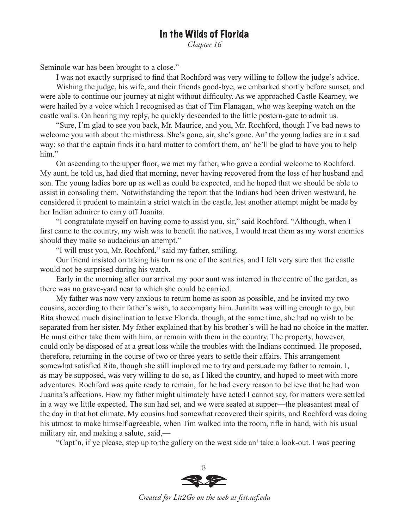*Chapter 16*

Seminole war has been brought to a close."

I was not exactly surprised to find that Rochford was very willing to follow the judge's advice.

Wishing the judge, his wife, and their friends good-bye, we embarked shortly before sunset, and were able to continue our journey at night without difficulty. As we approached Castle Kearney, we were hailed by a voice which I recognised as that of Tim Flanagan, who was keeping watch on the castle walls. On hearing my reply, he quickly descended to the little postern-gate to admit us.

"Sure, I'm glad to see you back, Mr. Maurice, and you, Mr. Rochford, though I've bad news to welcome you with about the misthress. She's gone, sir, she's gone. An' the young ladies are in a sad way; so that the captain finds it a hard matter to comfort them, an' he'll be glad to have you to help him"

On ascending to the upper floor, we met my father, who gave a cordial welcome to Rochford. My aunt, he told us, had died that morning, never having recovered from the loss of her husband and son. The young ladies bore up as well as could be expected, and he hoped that we should be able to assist in consoling them. Notwithstanding the report that the Indians had been driven westward, he considered it prudent to maintain a strict watch in the castle, lest another attempt might be made by her Indian admirer to carry off Juanita.

"I congratulate myself on having come to assist you, sir," said Rochford. "Although, when I first came to the country, my wish was to benefit the natives, I would treat them as my worst enemies should they make so audacious an attempt."

"I will trust you, Mr. Rochford," said my father, smiling.

Our friend insisted on taking his turn as one of the sentries, and I felt very sure that the castle would not be surprised during his watch.

Early in the morning after our arrival my poor aunt was interred in the centre of the garden, as there was no grave-yard near to which she could be carried.

My father was now very anxious to return home as soon as possible, and he invited my two cousins, according to their father's wish, to accompany him. Juanita was willing enough to go, but Rita showed much disinclination to leave Florida, though, at the same time, she had no wish to be separated from her sister. My father explained that by his brother's will he had no choice in the matter. He must either take them with him, or remain with them in the country. The property, however, could only be disposed of at a great loss while the troubles with the Indians continued. He proposed, therefore, returning in the course of two or three years to settle their affairs. This arrangement somewhat satisfied Rita, though she still implored me to try and persuade my father to remain. I, as may be supposed, was very willing to do so, as I liked the country, and hoped to meet with more adventures. Rochford was quite ready to remain, for he had every reason to believe that he had won Juanita's affections. How my father might ultimately have acted I cannot say, for matters were settled in a way we little expected. The sun had set, and we were seated at supper—the pleasantest meal of the day in that hot climate. My cousins had somewhat recovered their spirits, and Rochford was doing his utmost to make himself agreeable, when Tim walked into the room, rifle in hand, with his usual military air, and making a salute, said,—

"Capt'n, if ye please, step up to the gallery on the west side an' take a look-out. I was peering

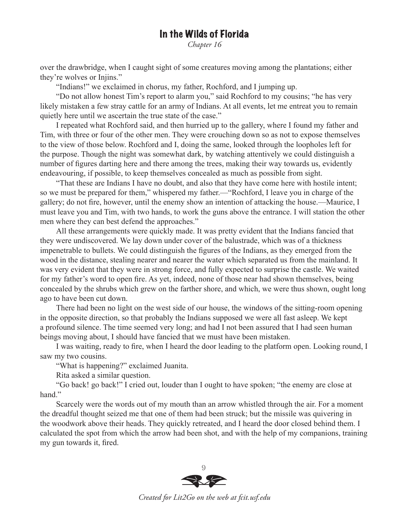*Chapter 16*

over the drawbridge, when I caught sight of some creatures moving among the plantations; either they're wolves or Injins."

"Indians!" we exclaimed in chorus, my father, Rochford, and I jumping up.

"Do not allow honest Tim's report to alarm you," said Rochford to my cousins; "he has very likely mistaken a few stray cattle for an army of Indians. At all events, let me entreat you to remain quietly here until we ascertain the true state of the case."

I repeated what Rochford said, and then hurried up to the gallery, where I found my father and Tim, with three or four of the other men. They were crouching down so as not to expose themselves to the view of those below. Rochford and I, doing the same, looked through the loopholes left for the purpose. Though the night was somewhat dark, by watching attentively we could distinguish a number of figures darting here and there among the trees, making their way towards us, evidently endeavouring, if possible, to keep themselves concealed as much as possible from sight.

"That these are Indians I have no doubt, and also that they have come here with hostile intent; so we must be prepared for them," whispered my father.—"Rochford, I leave you in charge of the gallery; do not fire, however, until the enemy show an intention of attacking the house.—Maurice, I must leave you and Tim, with two hands, to work the guns above the entrance. I will station the other men where they can best defend the approaches."

All these arrangements were quickly made. It was pretty evident that the Indians fancied that they were undiscovered. We lay down under cover of the balustrade, which was of a thickness impenetrable to bullets. We could distinguish the figures of the Indians, as they emerged from the wood in the distance, stealing nearer and nearer the water which separated us from the mainland. It was very evident that they were in strong force, and fully expected to surprise the castle. We waited for my father's word to open fire. As yet, indeed, none of those near had shown themselves, being concealed by the shrubs which grew on the farther shore, and which, we were thus shown, ought long ago to have been cut down.

There had been no light on the west side of our house, the windows of the sitting-room opening in the opposite direction, so that probably the Indians supposed we were all fast asleep. We kept a profound silence. The time seemed very long; and had I not been assured that I had seen human beings moving about, I should have fancied that we must have been mistaken.

I was waiting, ready to fire, when I heard the door leading to the platform open. Looking round, I saw my two cousins.

"What is happening?" exclaimed Juanita.

Rita asked a similar question.

"Go back! go back!" I cried out, louder than I ought to have spoken; "the enemy are close at hand"

Scarcely were the words out of my mouth than an arrow whistled through the air. For a moment the dreadful thought seized me that one of them had been struck; but the missile was quivering in the woodwork above their heads. They quickly retreated, and I heard the door closed behind them. I calculated the spot from which the arrow had been shot, and with the help of my companions, training my gun towards it, fired.



*Created for Lit2Go on the web at fcit.usf.edu*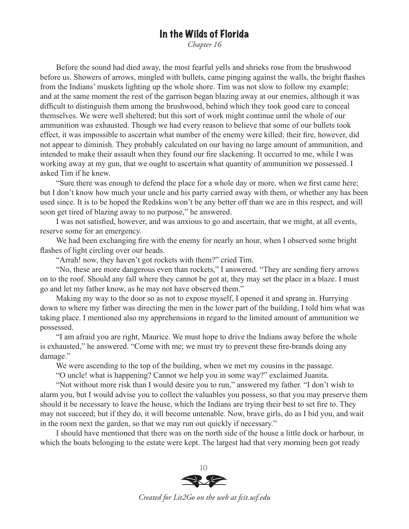*Chapter 16*

Before the sound had died away, the most fearful yells and shrieks rose from the brushwood before us. Showers of arrows, mingled with bullets, came pinging against the walls, the bright flashes from the Indians' muskets lighting up the whole shore. Tim was not slow to follow my example; and at the same moment the rest of the garrison began blazing away at our enemies, although it was difficult to distinguish them among the brushwood, behind which they took good care to conceal themselves. We were well sheltered; but this sort of work might continue until the whole of our ammunition was exhausted. Though we had every reason to believe that some of our bullets took effect, it was impossible to ascertain what number of the enemy were killed; their fire, however, did not appear to diminish. They probably calculated on our having no large amount of ammunition, and intended to make their assault when they found our fire slackening. It occurred to me, while I was working away at my gun, that we ought to ascertain what quantity of ammunition we possessed. I asked Tim if he knew.

"Sure there was enough to defend the place for a whole day or more, when we first came here; but I don't know how much your uncle and his party carried away with them, or whether any has been used since. It is to be hoped the Redskins won't be any better off than we are in this respect, and will soon get tired of blazing away to no purpose," he answered.

I was not satisfied, however, and was anxious to go and ascertain, that we might, at all events, reserve some for an emergency.

We had been exchanging fire with the enemy for nearly an hour, when I observed some bright flashes of light circling over our heads.

"Arrah! now, they haven't got rockets with them?" cried Tim.

"No, these are more dangerous even than rockets," I answered. "They are sending fiery arrows on to the roof. Should any fall where they cannot be got at, they may set the place in a blaze. I must go and let my father know, as he may not have observed them."

Making my way to the door so as not to expose myself, I opened it and sprang in. Hurrying down to where my father was directing the men in the lower part of the building, I told him what was taking place. I mentioned also my apprehensions in regard to the limited amount of ammunition we possessed.

"I am afraid you are right, Maurice. We must hope to drive the Indians away before the whole is exhausted," he answered. "Come with me; we must try to prevent these fire-brands doing any damage."

We were ascending to the top of the building, when we met my cousins in the passage.

"O uncle! what is happening? Cannot we help you in some way?" exclaimed Juanita.

"Not without more risk than I would desire you to run," answered my father. "I don't wish to alarm you, but I would advise you to collect the valuables you possess, so that you may preserve them should it be necessary to leave the house, which the Indians are trying their best to set fire to. They may not succeed; but if they do, it will become untenable. Now, brave girls, do as I bid you, and wait in the room next the garden, so that we may run out quickly if necessary."

I should have mentioned that there was on the north side of the house a little dock or harbour, in which the boats belonging to the estate were kept. The largest had that very morning been got ready

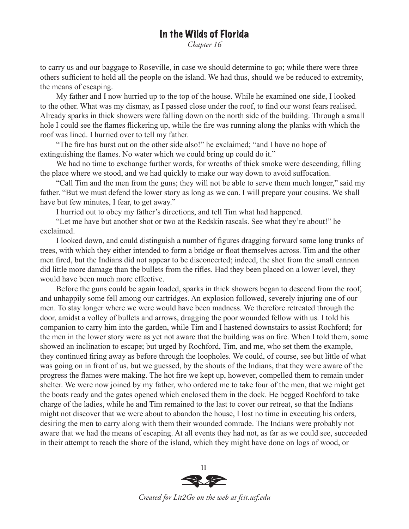*Chapter 16*

to carry us and our baggage to Roseville, in case we should determine to go; while there were three others sufficient to hold all the people on the island. We had thus, should we be reduced to extremity, the means of escaping.

My father and I now hurried up to the top of the house. While he examined one side, I looked to the other. What was my dismay, as I passed close under the roof, to find our worst fears realised. Already sparks in thick showers were falling down on the north side of the building. Through a small hole I could see the flames flickering up, while the fire was running along the planks with which the roof was lined. I hurried over to tell my father.

"The fire has burst out on the other side also!" he exclaimed; "and I have no hope of extinguishing the flames. No water which we could bring up could do it."

We had no time to exchange further words, for wreaths of thick smoke were descending, filling the place where we stood, and we had quickly to make our way down to avoid suffocation.

"Call Tim and the men from the guns; they will not be able to serve them much longer," said my father. "But we must defend the lower story as long as we can. I will prepare your cousins. We shall have but few minutes, I fear, to get away."

I hurried out to obey my father's directions, and tell Tim what had happened.

"Let me have but another shot or two at the Redskin rascals. See what they're about!" he exclaimed.

I looked down, and could distinguish a number of figures dragging forward some long trunks of trees, with which they either intended to form a bridge or float themselves across. Tim and the other men fired, but the Indians did not appear to be disconcerted; indeed, the shot from the small cannon did little more damage than the bullets from the rifles. Had they been placed on a lower level, they would have been much more effective.

Before the guns could be again loaded, sparks in thick showers began to descend from the roof, and unhappily some fell among our cartridges. An explosion followed, severely injuring one of our men. To stay longer where we were would have been madness. We therefore retreated through the door, amidst a volley of bullets and arrows, dragging the poor wounded fellow with us. I told his companion to carry him into the garden, while Tim and I hastened downstairs to assist Rochford; for the men in the lower story were as yet not aware that the building was on fire. When I told them, some showed an inclination to escape; but urged by Rochford, Tim, and me, who set them the example, they continued firing away as before through the loopholes. We could, of course, see but little of what was going on in front of us, but we guessed, by the shouts of the Indians, that they were aware of the progress the flames were making. The hot fire we kept up, however, compelled them to remain under shelter. We were now joined by my father, who ordered me to take four of the men, that we might get the boats ready and the gates opened which enclosed them in the dock. He begged Rochford to take charge of the ladies, while he and Tim remained to the last to cover our retreat, so that the Indians might not discover that we were about to abandon the house, I lost no time in executing his orders, desiring the men to carry along with them their wounded comrade. The Indians were probably not aware that we had the means of escaping. At all events they had not, as far as we could see, succeeded in their attempt to reach the shore of the island, which they might have done on logs of wood, or

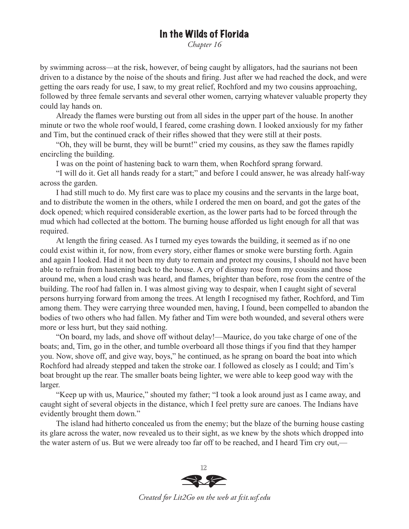*Chapter 16*

by swimming across—at the risk, however, of being caught by alligators, had the saurians not been driven to a distance by the noise of the shouts and firing. Just after we had reached the dock, and were getting the oars ready for use, I saw, to my great relief, Rochford and my two cousins approaching, followed by three female servants and several other women, carrying whatever valuable property they could lay hands on.

Already the flames were bursting out from all sides in the upper part of the house. In another minute or two the whole roof would, I feared, come crashing down. I looked anxiously for my father and Tim, but the continued crack of their rifles showed that they were still at their posts.

"Oh, they will be burnt, they will be burnt!" cried my cousins, as they saw the flames rapidly encircling the building.

I was on the point of hastening back to warn them, when Rochford sprang forward.

"I will do it. Get all hands ready for a start;" and before I could answer, he was already half-way across the garden.

I had still much to do. My first care was to place my cousins and the servants in the large boat, and to distribute the women in the others, while I ordered the men on board, and got the gates of the dock opened; which required considerable exertion, as the lower parts had to be forced through the mud which had collected at the bottom. The burning house afforded us light enough for all that was required.

At length the firing ceased. As I turned my eyes towards the building, it seemed as if no one could exist within it, for now, from every story, either flames or smoke were bursting forth. Again and again I looked. Had it not been my duty to remain and protect my cousins, I should not have been able to refrain from hastening back to the house. A cry of dismay rose from my cousins and those around me, when a loud crash was heard, and flames, brighter than before, rose from the centre of the building. The roof had fallen in. I was almost giving way to despair, when I caught sight of several persons hurrying forward from among the trees. At length I recognised my father, Rochford, and Tim among them. They were carrying three wounded men, having, I found, been compelled to abandon the bodies of two others who had fallen. My father and Tim were both wounded, and several others were more or less hurt, but they said nothing.

"On board, my lads, and shove off without delay!—Maurice, do you take charge of one of the boats; and, Tim, go in the other, and tumble overboard all those things if you find that they hamper you. Now, shove off, and give way, boys," he continued, as he sprang on board the boat into which Rochford had already stepped and taken the stroke oar. I followed as closely as I could; and Tim's boat brought up the rear. The smaller boats being lighter, we were able to keep good way with the larger.

"Keep up with us, Maurice," shouted my father; "I took a look around just as I came away, and caught sight of several objects in the distance, which I feel pretty sure are canoes. The Indians have evidently brought them down."

The island had hitherto concealed us from the enemy; but the blaze of the burning house casting its glare across the water, now revealed us to their sight, as we knew by the shots which dropped into the water astern of us. But we were already too far off to be reached, and I heard Tim cry out,—



*Created for Lit2Go on the web at fcit.usf.edu*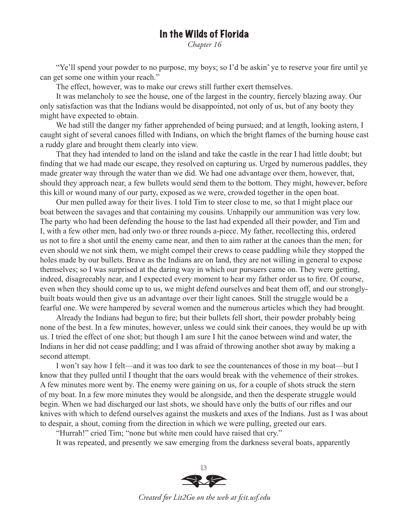*Chapter 16*

"Ye'll spend your powder to no purpose, my boys; so I'd be askin' ye to reserve your fire until ye can get some one within your reach."

The effect, however, was to make our crews still further exert themselves.

It was melancholy to see the house, one of the largest in the country, fiercely blazing away. Our only satisfaction was that the Indians would be disappointed, not only of us, but of any booty they might have expected to obtain.

We had still the danger my father apprehended of being pursued; and at length, looking astern, I caught sight of several canoes filled with Indians, on which the bright flames of the burning house cast a ruddy glare and brought them clearly into view.

That they had intended to land on the island and take the castle in the rear I had little doubt; but finding that we had made our escape, they resolved on capturing us. Urged by numerous paddles, they made greater way through the water than we did. We had one advantage over them, however, that, should they approach near, a few bullets would send them to the bottom. They might, however, before this kill or wound many of our party, exposed as we were, crowded together in the open boat.

Our men pulled away for their lives. I told Tim to steer close to me, so that I might place our boat between the savages and that containing my cousins. Unhappily our ammunition was very low. The party who had been defending the house to the last had expended all their powder, and Tim and I, with a few other men, had only two or three rounds a-piece. My father, recollecting this, ordered us not to fire a shot until the enemy came near, and then to aim rather at the canoes than the men; for even should we not sink them, we might compel their crews to cease paddling while they stopped the holes made by our bullets. Brave as the Indians are on land, they are not willing in general to expose themselves; so I was surprised at the daring way in which our pursuers came on. They were getting, indeed, disagreeably near, and I expected every moment to hear my father order us to fire. Of course, even when they should come up to us, we might defend ourselves and beat them off, and our stronglybuilt boats would then give us an advantage over their light canoes. Still the struggle would be a fearful one. We were hampered by several women and the numerous articles which they had brought.

Already the Indians had begun to fire; but their bullets fell short, their powder probably being none of the best. In a few minutes, however, unless we could sink their canoes, they would be up with us. I tried the effect of one shot; but though I am sure I hit the canoe between wind and water, the Indians in her did not cease paddling; and I was afraid of throwing another shot away by making a second attempt.

I won't say how I felt—and it was too dark to see the countenances of those in my boat—but I know that they pulled until I thought that the oars would break with the vehemence of their strokes. A few minutes more went by. The enemy were gaining on us, for a couple of shots struck the stern of my boat. In a few more minutes they would be alongside, and then the desperate struggle would begin. When we had discharged our last shots, we should have only the butts of our rifles and our knives with which to defend ourselves against the muskets and axes of the Indians. Just as I was about to despair, a shout, coming from the direction in which we were pulling, greeted our ears.

"Hurrah!" cried Tim; "none but white men could have raised that cry."

It was repeated, and presently we saw emerging from the darkness several boats, apparently

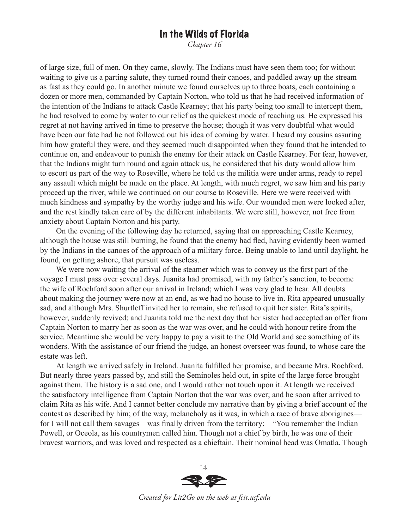*Chapter 16*

of large size, full of men. On they came, slowly. The Indians must have seen them too; for without waiting to give us a parting salute, they turned round their canoes, and paddled away up the stream as fast as they could go. In another minute we found ourselves up to three boats, each containing a dozen or more men, commanded by Captain Norton, who told us that he had received information of the intention of the Indians to attack Castle Kearney; that his party being too small to intercept them, he had resolved to come by water to our relief as the quickest mode of reaching us. He expressed his regret at not having arrived in time to preserve the house; though it was very doubtful what would have been our fate had he not followed out his idea of coming by water. I heard my cousins assuring him how grateful they were, and they seemed much disappointed when they found that he intended to continue on, and endeavour to punish the enemy for their attack on Castle Kearney. For fear, however, that the Indians might turn round and again attack us, he considered that his duty would allow him to escort us part of the way to Roseville, where he told us the militia were under arms, ready to repel any assault which might be made on the place. At length, with much regret, we saw him and his party proceed up the river, while we continued on our course to Roseville. Here we were received with much kindness and sympathy by the worthy judge and his wife. Our wounded men were looked after, and the rest kindly taken care of by the different inhabitants. We were still, however, not free from anxiety about Captain Norton and his party.

On the evening of the following day he returned, saying that on approaching Castle Kearney, although the house was still burning, he found that the enemy had fled, having evidently been warned by the Indians in the canoes of the approach of a military force. Being unable to land until daylight, he found, on getting ashore, that pursuit was useless.

We were now waiting the arrival of the steamer which was to convey us the first part of the voyage I must pass over several days. Juanita had promised, with my father's sanction, to become the wife of Rochford soon after our arrival in Ireland; which I was very glad to hear. All doubts about making the journey were now at an end, as we had no house to live in. Rita appeared unusually sad, and although Mrs. Shurtleff invited her to remain, she refused to quit her sister. Rita's spirits, however, suddenly revived; and Juanita told me the next day that her sister had accepted an offer from Captain Norton to marry her as soon as the war was over, and he could with honour retire from the service. Meantime she would be very happy to pay a visit to the Old World and see something of its wonders. With the assistance of our friend the judge, an honest overseer was found, to whose care the estate was left.

At length we arrived safely in Ireland. Juanita fulfilled her promise, and became Mrs. Rochford. But nearly three years passed by, and still the Seminoles held out, in spite of the large force brought against them. The history is a sad one, and I would rather not touch upon it. At length we received the satisfactory intelligence from Captain Norton that the war was over; and he soon after arrived to claim Rita as his wife. And I cannot better conclude my narrative than by giving a brief account of the contest as described by him; of the way, melancholy as it was, in which a race of brave aborigines for I will not call them savages—was finally driven from the territory:—"You remember the Indian Powell, or Oceola, as his countrymen called him. Though not a chief by birth, he was one of their bravest warriors, and was loved and respected as a chieftain. Their nominal head was Omatla. Though